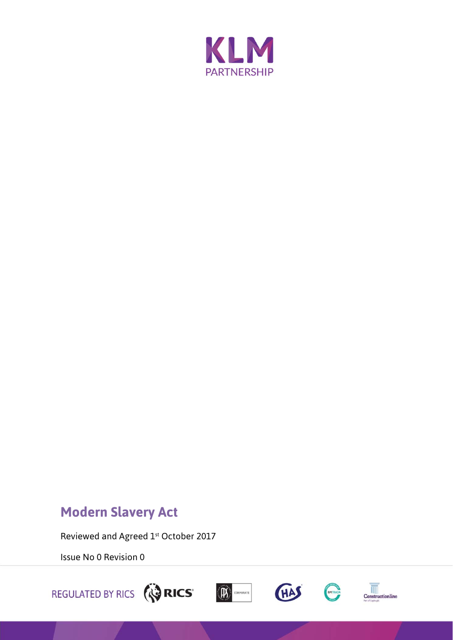

## **Modern Slavery Act**

Reviewed and Agreed 1st October 2017

Issue No 0 Revision 0







**EMTRADA**<br>Constructionline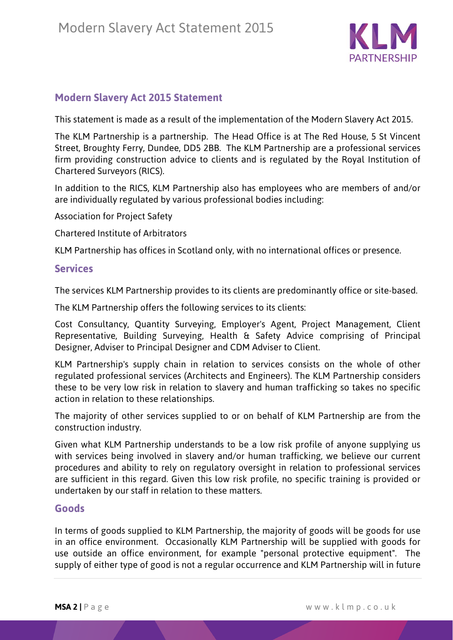

## **Modern Slavery Act 2015 Statement**

This statement is made as a result of the implementation of the Modern Slavery Act 2015.

The KLM Partnership is a partnership. The Head Office is at The Red House, 5 St Vincent Street, Broughty Ferry, Dundee, DD5 2BB. The KLM Partnership are a professional services firm providing construction advice to clients and is regulated by the Royal Institution of Chartered Surveyors (RICS).

In addition to the RICS, KLM Partnership also has employees who are members of and/or are individually regulated by various professional bodies including:

Association for Project Safety

Chartered Institute of Arbitrators

KLM Partnership has offices in Scotland only, with no international offices or presence.

## **Services**

The services KLM Partnership provides to its clients are predominantly office or site-based.

The KLM Partnership offers the following services to its clients:

Cost Consultancy, Quantity Surveying, Employer's Agent, Project Management, Client Representative, Building Surveying, Health & Safety Advice comprising of Principal Designer, Adviser to Principal Designer and CDM Adviser to Client.

KLM Partnership's supply chain in relation to services consists on the whole of other regulated professional services (Architects and Engineers). The KLM Partnership considers these to be very low risk in relation to slavery and human trafficking so takes no specific action in relation to these relationships.

The majority of other services supplied to or on behalf of KLM Partnership are from the construction industry.

Given what KLM Partnership understands to be a low risk profile of anyone supplying us with services being involved in slavery and/or human trafficking, we believe our current procedures and ability to rely on regulatory oversight in relation to professional services are sufficient in this regard. Given this low risk profile, no specific training is provided or undertaken by our staff in relation to these matters.

## **Goods**

In terms of goods supplied to KLM Partnership, the majority of goods will be goods for use in an office environment. Occasionally KLM Partnership will be supplied with goods for use outside an office environment, for example "personal protective equipment". The supply of either type of good is not a regular occurrence and KLM Partnership will in future